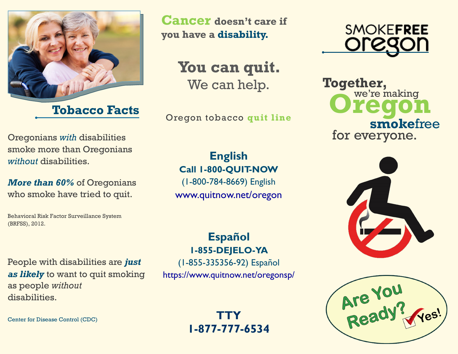

Oregonians *with* disabilities smoke more than Oregonians *without* disabilities.

*More than 60%* of Oregonians who smoke have tried to quit.

People with disabilities are *just* 

*as likely* to want to quit smoking

Behavioral Risk Factor Surveillance System (BRFSS), 2012.

**Cancer doesn't care if you have a disability.**

> **You can quit.**  We can help.

**Tobacco Facts** Oregon tobacco quit line

## **English Call 1-800-QUIT-NOW**

(1-800-784-8669) English www.quitnow.net/oregon

### **Español 1-855-DEJELO-YA**

(1-855-335356-92) Español <https://www.quitnow.net/oregonsp/>

> **TTY 1-877-777-6534**



**Together,** we're making **smoke**free for everyone.





disabilities.

Center for Disease Control (CDC)

as people *without*